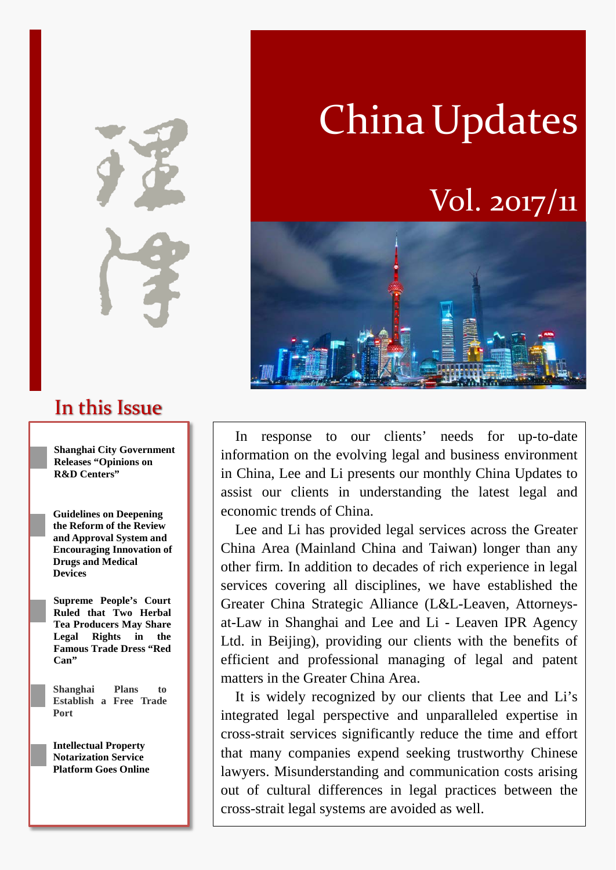In this Issue

**Shanghai City Government Releases "Opinions on R&D Centers"** 

**Guidelines on Deepening the Reform of the Review and Approval System and Encouraging Innovation of Drugs and Medical Devices**

**Supreme People's Court Ruled that Two Herbal Tea Producers May Share Legal Rights in the Famous Trade Dress "Red Can"**

**Shanghai Plans to Establish a Free Trade Port**

**Intellectual Property Notarization Service Platform Goes Online**

# China Updates

# Vol. 2017/11



In response to our clients' needs for up-to-date information on the evolving legal and business environment in China, Lee and Li presents our monthly China Updates to assist our clients in understanding the latest legal and economic trends of China.

Lee and Li has provided legal services across the Greater China Area (Mainland China and Taiwan) longer than any other firm. In addition to decades of rich experience in legal services covering all disciplines, we have established the Greater China Strategic Alliance (L&L-Leaven, Attorneysat-Law in Shanghai and Lee and Li - Leaven IPR Agency Ltd. in Beijing), providing our clients with the benefits of efficient and professional managing of legal and patent matters in the Greater China Area.

It is widely recognized by our clients that Lee and Li's integrated legal perspective and unparalleled expertise in cross-strait services significantly reduce the time and effort that many companies expend seeking trustworthy Chinese lawyers. Misunderstanding and communication costs arising out of cultural differences in legal practices between the cross-strait legal systems are avoided as well.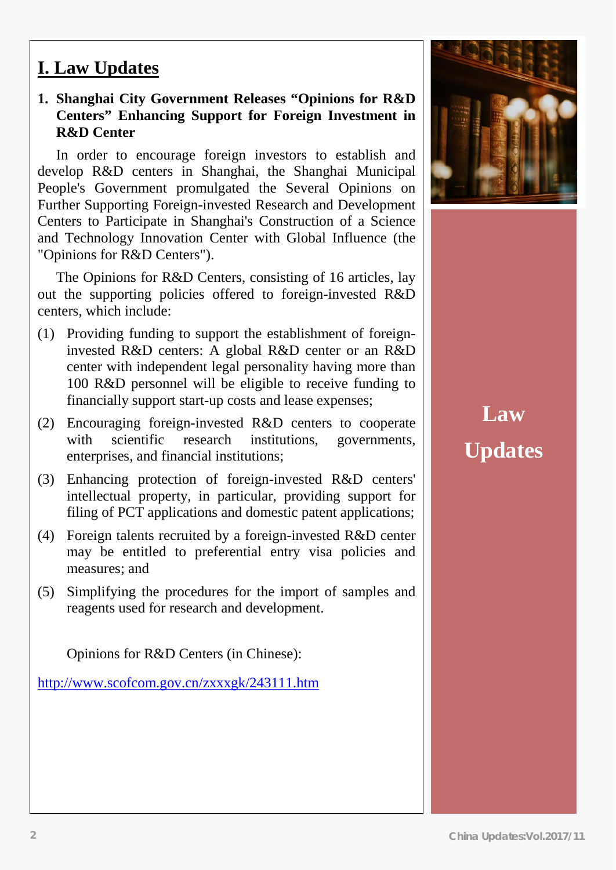### **I. Law Updates**

#### **1. Shanghai City Government Releases "Opinions for R&D Centers" Enhancing Support for Foreign Investment in R&D Center**

In order to encourage foreign investors to establish and develop R&D centers in Shanghai, the Shanghai Municipal People's Government promulgated the Several Opinions on Further Supporting Foreign-invested Research and Development Centers to Participate in Shanghai's Construction of a Science and Technology Innovation Center with Global Influence (the "Opinions for R&D Centers").

The Opinions for R&D Centers, consisting of 16 articles, lay out the supporting policies offered to foreign-invested R&D centers, which include:

- (1) Providing funding to support the establishment of foreigninvested R&D centers: A global R&D center or an R&D center with independent legal personality having more than 100 R&D personnel will be eligible to receive funding to financially support start-up costs and lease expenses;
- (2) Encouraging foreign-invested R&D centers to cooperate with scientific research institutions, governments, enterprises, and financial institutions;
- (3) Enhancing protection of foreign-invested R&D centers' intellectual property, in particular, providing support for filing of PCT applications and domestic patent applications;
- (4) Foreign talents recruited by a foreign-invested R&D center may be entitled to preferential entry visa policies and measures; and
- (5) Simplifying the procedures for the import of samples and reagents used for research and development.

Opinions for R&D Centers (in Chinese):

<http://www.scofcom.gov.cn/zxxxgk/243111.htm>



# **Law Updates**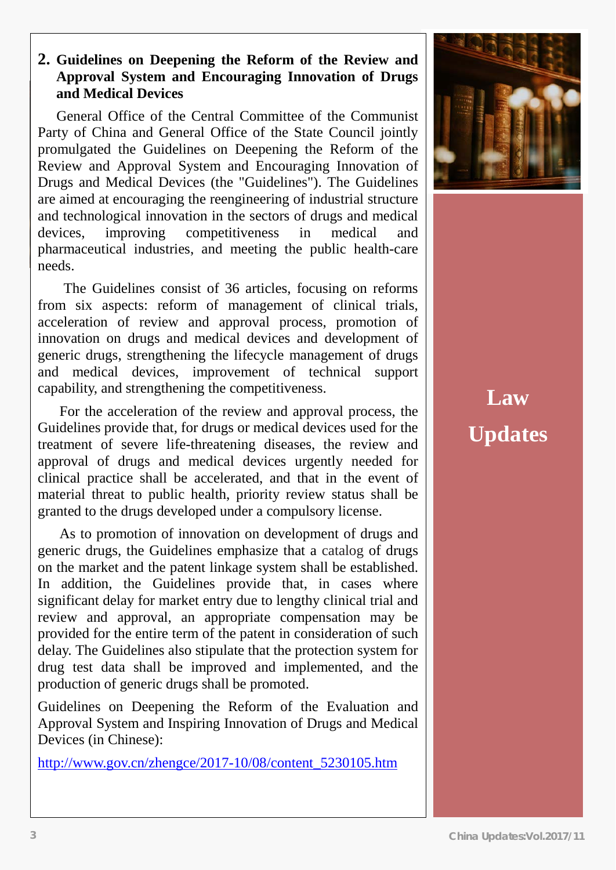#### **2. Guidelines on Deepening the Reform of the Review and Approval System and Encouraging Innovation of Drugs and Medical Devices**

General Office of the Central Committee of the Communist Party of China and General Office of the State Council jointly promulgated the Guidelines on Deepening the Reform of the Review and Approval System and Encouraging Innovation of Drugs and Medical Devices (the "Guidelines"). The Guidelines are aimed at encouraging the reengineering of industrial structure and technological innovation in the sectors of drugs and medical devices, improving competitiveness in medical and pharmaceutical industries, and meeting the public health-care needs.

The Guidelines consist of 36 articles, focusing on reforms from six aspects: reform of management of clinical trials, acceleration of review and approval process, promotion of innovation on drugs and medical devices and development of generic drugs, strengthening the lifecycle management of drugs and medical devices, improvement of technical support capability, and strengthening the competitiveness.

For the acceleration of the review and approval process, the Guidelines provide that, for drugs or medical devices used for the treatment of severe life-threatening diseases, the review and approval of drugs and medical devices urgently needed for clinical practice shall be accelerated, and that in the event of material threat to public health, priority review status shall be granted to the drugs developed under a compulsory license.

As to promotion of innovation on development of drugs and generic drugs, the Guidelines emphasize that a catalog of drugs on the market and the patent linkage system shall be established. In addition, the Guidelines provide that, in cases where significant delay for market entry due to lengthy clinical trial and review and approval, an appropriate compensation may be provided for the entire term of the patent in consideration of such delay. The Guidelines also stipulate that the protection system for drug test data shall be improved and implemented, and the production of generic drugs shall be promoted.

Guidelines on Deepening the Reform of the Evaluation and Approval System and Inspiring Innovation of Drugs and Medical Devices (in Chinese):

[http://www.gov.cn/zhengce/2017-10/08/content\\_5230105.htm](http://www.gov.cn/zhengce/2017-10/08/content_5230105.htm)



**Law Updates**

ſ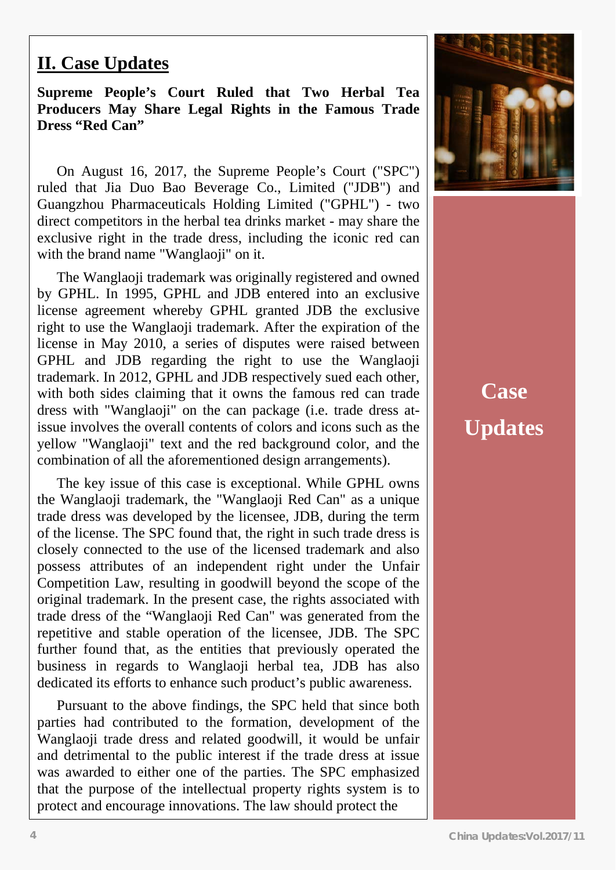### **II. Case Updates**

pupitum tropics court Kuitu that two fittival fea Producers May Share Legal Rights in the Famous Trade **Producers** May Share Legal Rights in the Famous Trade  $T_{\text{PLSS}}$  and  $T_{\text{all}}$  shall shall shall shall shall shall shall shall shall shall shall shall shall shall shall shall shall shall shall shall shall shall shall shall shall shall shall shall shall shall shall shall shal **Supreme People's Court Ruled that Two Herbal Tea Dress "Red Can"**

On August 16, 2017, the Supreme People's Court ("SPC") ruled that Jia Duo Bao Beverage Co., Limited ("JDB") and Guangzhou Pharmaceuticals Holding Limited ("GPHL") - two direct competitors in the herbal tea drinks market - may share the exclusive right in the trade dress, including the iconic red can with the brand name "Wanglaoji" on it.

The Wanglaoji trademark was originally registered and owned by GPHL. In 1995, GPHL and JDB entered into an exclusive license agreement whereby GPHL granted JDB the exclusive right to use the Wanglaoji trademark. After the expiration of the license in May 2010, a series of disputes were raised between GPHL and JDB regarding the right to use the Wanglaoji trademark. In 2012, GPHL and JDB respectively sued each other, with both sides claiming that it owns the famous red can trade dress with "Wanglaoji" on the can package (i.e. trade dress atissue involves the overall contents of colors and icons such as the yellow "Wanglaoji" text and the red background color, and the combination of all the aforementioned design arrangements).

The key issue of this case is exceptional. While GPHL owns the Wanglaoji trademark, the "Wanglaoji Red Can" as a unique trade dress was developed by the licensee, JDB, during the term of the license. The SPC found that, the right in such trade dress is closely connected to the use of the licensed trademark and also possess attributes of an independent right under the Unfair Competition Law, resulting in goodwill beyond the scope of the original trademark. In the present case, the rights associated with trade dress of the "Wanglaoji Red Can" was generated from the repetitive and stable operation of the licensee, JDB. The SPC further found that, as the entities that previously operated the business in regards to Wanglaoji herbal tea, JDB has also dedicated its efforts to enhance such product's public awareness.

Pursuant to the above findings, the SPC held that since both parties had contributed to the formation, development of the Wanglaoji trade dress and related goodwill, it would be unfair and detrimental to the public interest if the trade dress at issue was awarded to either one of the parties. The SPC emphasized that the purpose of the intellectual property rights system is to protect and encourage innovations. The law should protect the



**Case Updates**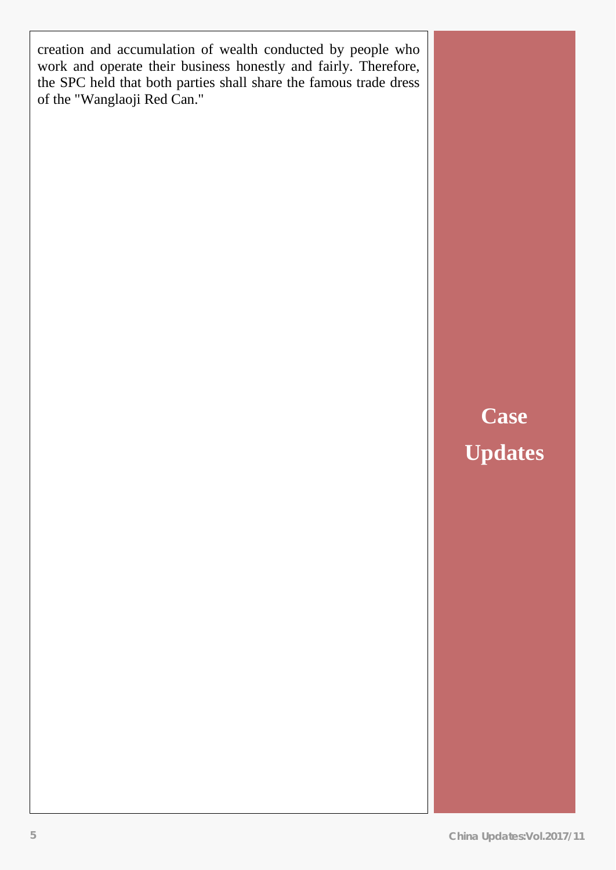creation and accumulation of wealth conducted by people who work and operate their business honestly and fairly. Therefore, the SPC held that both parties shall share the famous trade dress of the "Wanglaoji Red Can."

# **Case Updates**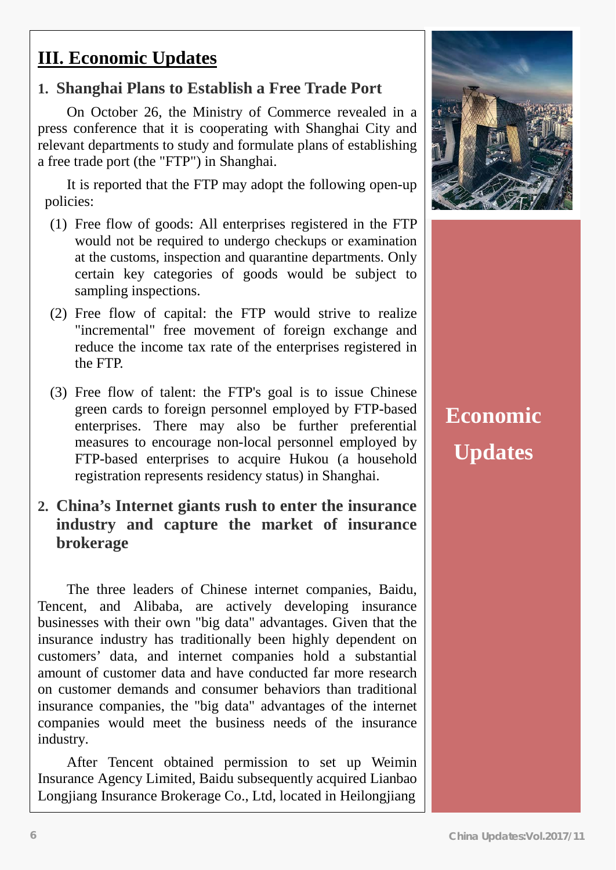## **III. Economic Updates**

### **1. Shanghai Plans to Establish a Free Trade Port**

On October 26, the Ministry of Commerce revealed in a press conference that it is cooperating with Shanghai City and relevant departments to study and formulate plans of establishing a free trade port (the "FTP") in Shanghai.

It is reported that the FTP may adopt the following open-up policies:

- (1) Free flow of goods: All enterprises registered in the FTP would not be required to undergo checkups or examination at the customs, inspection and quarantine departments. Only certain key categories of goods would be subject to sampling inspections.
- (2) Free flow of capital: the FTP would strive to realize "incremental" free movement of foreign exchange and reduce the income tax rate of the enterprises registered in the FTP.
- (3) Free flow of talent: the FTP's goal is to issue Chinese green cards to foreign personnel employed by FTP-based enterprises. There may also be further preferential measures to encourage non-local personnel employed by FTP-based enterprises to acquire Hukou (a household registration represents residency status) in Shanghai.
- **2. China's Internet giants rush to enter the insurance industry and capture the market of insurance brokerage**

The three leaders of Chinese internet companies, Baidu, Tencent, and Alibaba, are actively developing insurance businesses with their own "big data" advantages. Given that the insurance industry has traditionally been highly dependent on customers' data, and internet companies hold a substantial amount of customer data and have conducted far more research on customer demands and consumer behaviors than traditional insurance companies, the "big data" advantages of the internet companies would meet the business needs of the insurance industry.

After Tencent obtained permission to set up Weimin Insurance Agency Limited, Baidu subsequently acquired Lianbao Longjiang Insurance Brokerage Co., Ltd, located in Heilongjiang



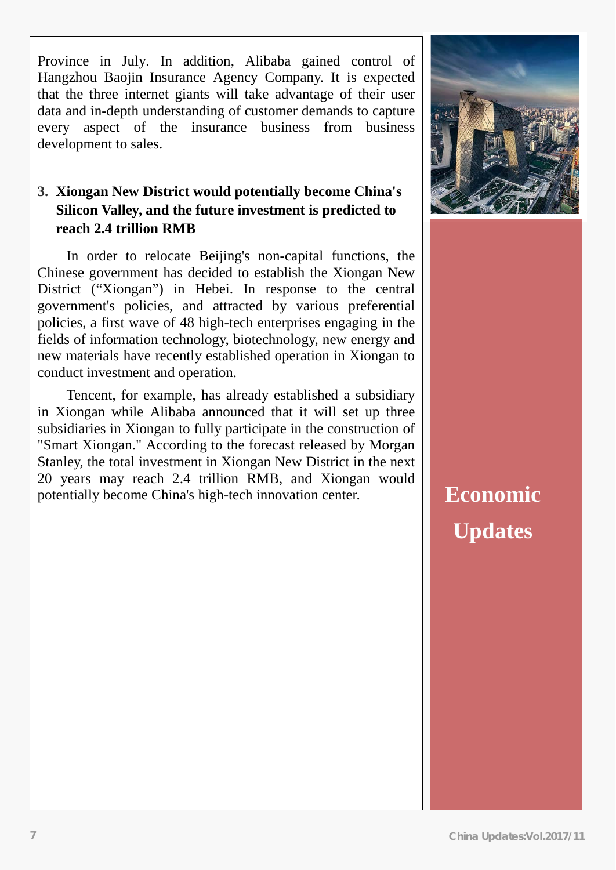Province in July. In addition, Alibaba gained control of Hangzhou Baojin Insurance Agency Company. It is expected that the three internet giants will take advantage of their user data and in-depth understanding of customer demands to capture every aspect of the insurance business from business development to sales.

#### **3. Xiongan New District would potentially become China's Silicon Valley, and the future investment is predicted to reach 2.4 trillion RMB**

In order to relocate Beijing's non-capital functions, the Chinese government has decided to establish the Xiongan New District ("Xiongan") in Hebei. In response to the central government's policies, and attracted by various preferential policies, a first wave of 48 high-tech enterprises engaging in the fields of information technology, biotechnology, new energy and new materials have recently established operation in Xiongan to conduct investment and operation.

Tencent, for example, has already established a subsidiary in Xiongan while Alibaba announced that it will set up three subsidiaries in Xiongan to fully participate in the construction of "Smart Xiongan." According to the forecast released by Morgan Stanley, the total investment in Xiongan New District in the next 20 years may reach 2.4 trillion RMB, and Xiongan would potentially become China's high-tech innovation center.



**Economic Updates**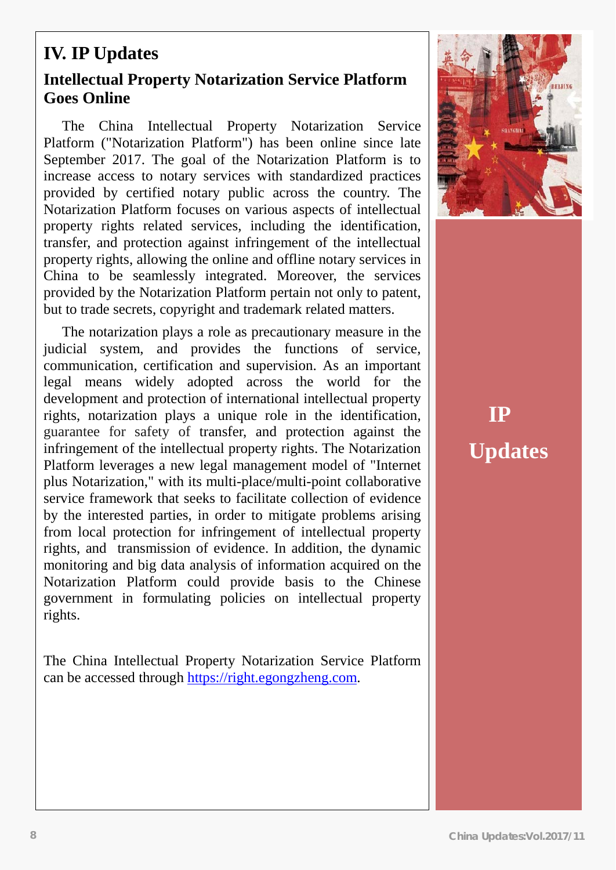### **IV. IP Updates**

#### **Intellectual Property Notarization Service Platform Goes Online**

The China Intellectual Property Notarization Service Platform ("Notarization Platform") has been online since late September 2017. The goal of the Notarization Platform is to increase access to notary services with standardized practices provided by certified notary public across the country. The Notarization Platform focuses on various aspects of intellectual property rights related services, including the identification, transfer, and protection against infringement of the intellectual property rights, allowing the online and offline notary services in China to be seamlessly integrated. Moreover, the services provided by the Notarization Platform pertain not only to patent, but to trade secrets, copyright and trademark related matters.

The notarization plays a role as precautionary measure in the judicial system, and provides the functions of service, communication, certification and supervision. As an important legal means widely adopted across the world for the development and protection of international intellectual property rights, notarization plays a unique role in the identification, guarantee for safety of transfer, and protection against the infringement of the intellectual property rights. The Notarization Platform leverages a new legal management model of "Internet plus Notarization," with its multi-place/multi-point collaborative service framework that seeks to facilitate collection of evidence by the interested parties, in order to mitigate problems arising from local protection for infringement of intellectual property rights, and transmission of evidence. In addition, the dynamic monitoring and big data analysis of information acquired on the Notarization Platform could provide basis to the Chinese government in formulating policies on intellectual property rights.

The China Intellectual Property Notarization Service Platform can be accessed through [https://right.egongzheng.com.](https://right.egongzheng.com/)



# **IP Updates**